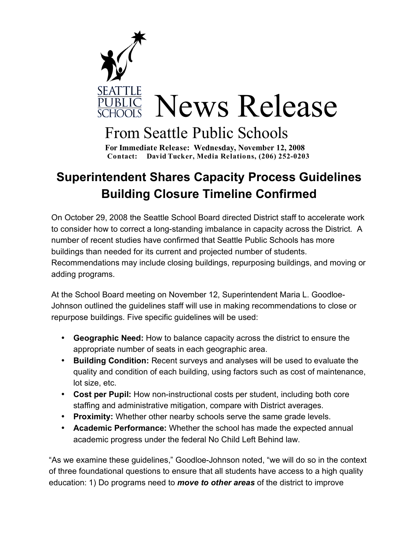

## From Seattle Public Schools

 **For Immediate Release: Wednesday, November 12, 2008 Contact: David Tucker, Media Relations, (206) 252-0203**

## **Superintendent Shares Capacity Process Guidelines Building Closure Timeline Confirmed**

On October 29, 2008 the Seattle School Board directed District staff to accelerate work to consider how to correct a long-standing imbalance in capacity across the District. A number of recent studies have confirmed that Seattle Public Schools has more buildings than needed for its current and projected number of students. Recommendations may include closing buildings, repurposing buildings, and moving or adding programs.

At the School Board meeting on November 12, Superintendent Maria L. Goodloe-Johnson outlined the guidelines staff will use in making recommendations to close or repurpose buildings. Five specific guidelines will be used:

- **Geographic Need:** How to balance capacity across the district to ensure the appropriate number of seats in each geographic area.
- **Building Condition:** Recent surveys and analyses will be used to evaluate the quality and condition of each building, using factors such as cost of maintenance, lot size, etc.
- **Cost per Pupil:** How non-instructional costs per student, including both core staffing and administrative mitigation, compare with District averages.
- **Proximity:** Whether other nearby schools serve the same grade levels.
- **Academic Performance:** Whether the school has made the expected annual academic progress under the federal No Child Left Behind law.

"As we examine these guidelines," Goodloe-Johnson noted, "we will do so in the context of three foundational questions to ensure that all students have access to a high quality education: 1) Do programs need to *move to other areas* of the district to improve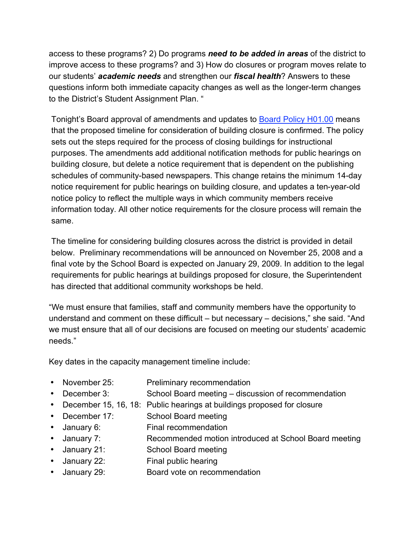access to these programs? 2) Do programs *need to be added in areas* of the district to improve access to these programs? and 3) How do closures or program moves relate to our students' *academic needs* and strengthen our *fiscal health*? Answers to these questions inform both immediate capacity changes as well as the longer-term changes to the District's Student Assignment Plan. "

Tonight's Board approval of amendments and updates to **Board Policy H01.00** means that the proposed timeline for consideration of building closure is confirmed. The policy sets out the steps required for the process of closing buildings for instructional purposes. The amendments add additional notification methods for public hearings on building closure, but delete a notice requirement that is dependent on the publishing schedules of community-based newspapers. This change retains the minimum 14-day notice requirement for public hearings on building closure, and updates a ten-year-old notice policy to reflect the multiple ways in which community members receive information today. All other notice requirements for the closure process will remain the same.

The timeline for considering building closures across the district is provided in detail below. Preliminary recommendations will be announced on November 25, 2008 and a final vote by the School Board is expected on January 29, 2009. In addition to the legal requirements for public hearings at buildings proposed for closure, the Superintendent has directed that additional community workshops be held.

"We must ensure that families, staff and community members have the opportunity to understand and comment on these difficult – but necessary – decisions," she said. "And we must ensure that all of our decisions are focused on meeting our students' academic needs."

Key dates in the capacity management timeline include:

- November 25: Preliminary recommendation
- December 3: School Board meeting discussion of recommendation
- December 15, 16, 18: Public hearings at buildings proposed for closure
- December 17: School Board meeting
- January 6: Final recommendation
- January 7: Recommended motion introduced at School Board meeting
- January 21: School Board meeting
- January 22: Final public hearing
- January 29: Board vote on recommendation